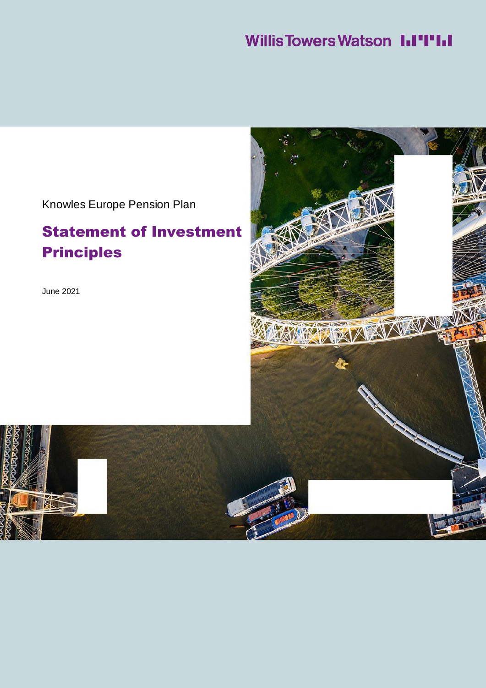### **Willis Towers Watson III'I'III**

Knowles Europe Pension Plan

### Statement of Investment Principles

June 2021

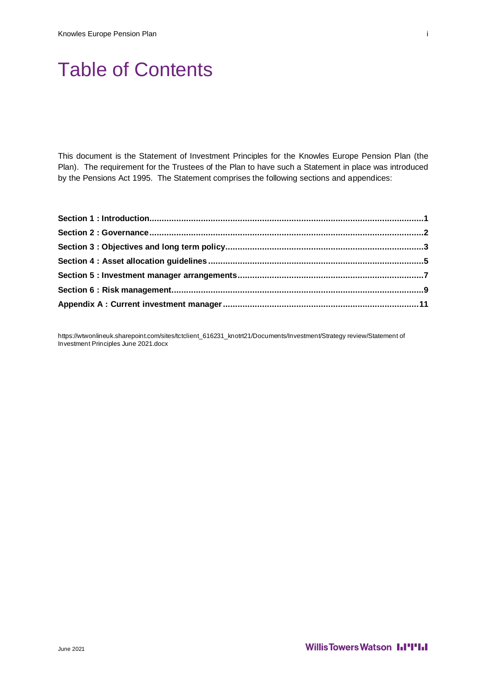## Table of Contents

This document is the Statement of Investment Principles for the Knowles Europe Pension Plan (the Plan). The requirement for the Trustees of the Plan to have such a Statement in place was introduced by the Pensions Act 1995. The Statement comprises the following sections and appendices:

https://wtwonlineuk.sharepoint.com/sites/tctclient\_616231\_knotrt21/Documents/Investment/Strategy review/Statement of Investment Principles June 2021.docx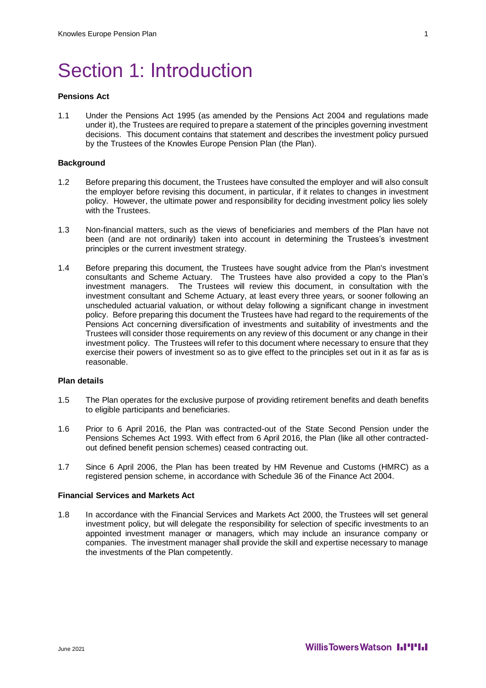## Section 1: Introduction

#### **Pensions Act**

1.1 Under the Pensions Act 1995 (as amended by the Pensions Act 2004 and regulations made under it), the Trustees are required to prepare a statement of the principles governing investment decisions. This document contains that statement and describes the investment policy pursued by the Trustees of the Knowles Europe Pension Plan (the Plan).

#### **Background**

- 1.2 Before preparing this document, the Trustees have consulted the employer and will also consult the employer before revising this document, in particular, if it relates to changes in investment policy. However, the ultimate power and responsibility for deciding investment policy lies solely with the Trustees.
- 1.3 Non-financial matters, such as the views of beneficiaries and members of the Plan have not been (and are not ordinarily) taken into account in determining the Trustees's investment principles or the current investment strategy.
- 1.4 Before preparing this document, the Trustees have sought advice from the Plan's investment consultants and Scheme Actuary. The Trustees have also provided a copy to the Plan's investment managers. The Trustees will review this document, in consultation with the investment consultant and Scheme Actuary, at least every three years, or sooner following an unscheduled actuarial valuation, or without delay following a significant change in investment policy. Before preparing this document the Trustees have had regard to the requirements of the Pensions Act concerning diversification of investments and suitability of investments and the Trustees will consider those requirements on any review of this document or any change in their investment policy. The Trustees will refer to this document where necessary to ensure that they exercise their powers of investment so as to give effect to the principles set out in it as far as is reasonable.

#### **Plan details**

- 1.5 The Plan operates for the exclusive purpose of providing retirement benefits and death benefits to eligible participants and beneficiaries.
- 1.6 Prior to 6 April 2016, the Plan was contracted-out of the State Second Pension under the Pensions Schemes Act 1993. With effect from 6 April 2016, the Plan (like all other contractedout defined benefit pension schemes) ceased contracting out.
- 1.7 Since 6 April 2006, the Plan has been treated by HM Revenue and Customs (HMRC) as a registered pension scheme, in accordance with Schedule 36 of the Finance Act 2004.

#### **Financial Services and Markets Act**

1.8 In accordance with the Financial Services and Markets Act 2000, the Trustees will set general investment policy, but will delegate the responsibility for selection of specific investments to an appointed investment manager or managers, which may include an insurance company or companies. The investment manager shall provide the skill and expertise necessary to manage the investments of the Plan competently.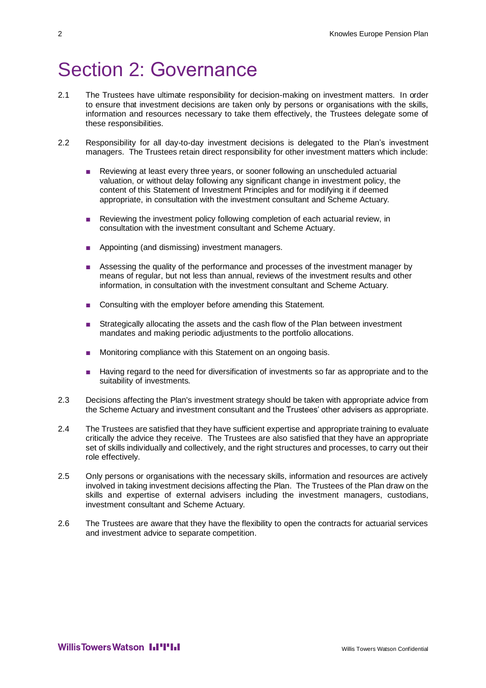### Section 2: Governance

- 2.1 The Trustees have ultimate responsibility for decision-making on investment matters. In order to ensure that investment decisions are taken only by persons or organisations with the skills, information and resources necessary to take them effectively, the Trustees delegate some of these responsibilities.
- 2.2 Responsibility for all day-to-day investment decisions is delegated to the Plan's investment managers. The Trustees retain direct responsibility for other investment matters which include:
	- Reviewing at least every three years, or sooner following an unscheduled actuarial valuation, or without delay following any significant change in investment policy, the content of this Statement of Investment Principles and for modifying it if deemed appropriate, in consultation with the investment consultant and Scheme Actuary.
	- Reviewing the investment policy following completion of each actuarial review, in consultation with the investment consultant and Scheme Actuary.
	- Appointing (and dismissing) investment managers.
	- Assessing the quality of the performance and processes of the investment manager by means of regular, but not less than annual, reviews of the investment results and other information, in consultation with the investment consultant and Scheme Actuary.
	- Consulting with the employer before amending this Statement.
	- Strategically allocating the assets and the cash flow of the Plan between investment mandates and making periodic adjustments to the portfolio allocations.
	- Monitoring compliance with this Statement on an ongoing basis.
	- Having regard to the need for diversification of investments so far as appropriate and to the suitability of investments.
- 2.3 Decisions affecting the Plan's investment strategy should be taken with appropriate advice from the Scheme Actuary and investment consultant and the Trustees' other advisers as appropriate.
- 2.4 The Trustees are satisfied that they have sufficient expertise and appropriate training to evaluate critically the advice they receive. The Trustees are also satisfied that they have an appropriate set of skills individually and collectively, and the right structures and processes, to carry out their role effectively.
- 2.5 Only persons or organisations with the necessary skills, information and resources are actively involved in taking investment decisions affecting the Plan. The Trustees of the Plan draw on the skills and expertise of external advisers including the investment managers, custodians, investment consultant and Scheme Actuary.
- 2.6 The Trustees are aware that they have the flexibility to open the contracts for actuarial services and investment advice to separate competition.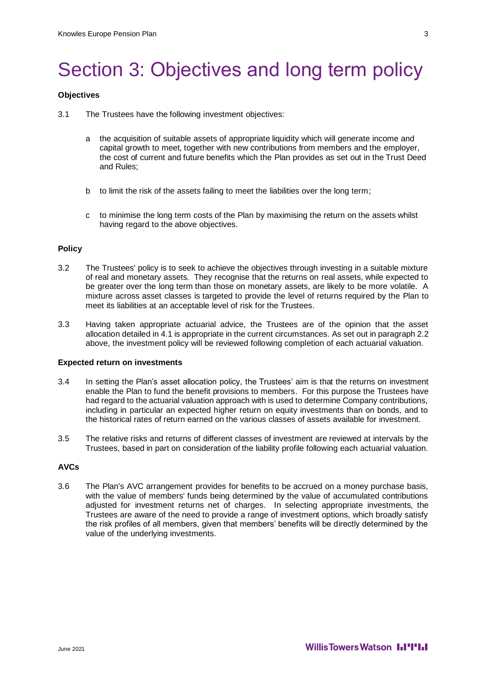## Section 3: Objectives and long term policy

#### **Objectives**

- 3.1 The Trustees have the following investment objectives:
	- a the acquisition of suitable assets of appropriate liquidity which will generate income and capital growth to meet, together with new contributions from members and the employer, the cost of current and future benefits which the Plan provides as set out in the Trust Deed and Rules;
	- b to limit the risk of the assets failing to meet the liabilities over the long term;
	- c to minimise the long term costs of the Plan by maximising the return on the assets whilst having regard to the above objectives.

#### **Policy**

- 3.2 The Trustees' policy is to seek to achieve the objectives through investing in a suitable mixture of real and monetary assets. They recognise that the returns on real assets, while expected to be greater over the long term than those on monetary assets, are likely to be more volatile. A mixture across asset classes is targeted to provide the level of returns required by the Plan to meet its liabilities at an acceptable level of risk for the Trustees.
- 3.3 Having taken appropriate actuarial advice, the Trustees are of the opinion that the asset allocation detailed in 4.1 is appropriate in the current circumstances. As set out in paragraph 2.2 above, the investment policy will be reviewed following completion of each actuarial valuation.

#### **Expected return on investments**

- 3.4 In setting the Plan's asset allocation policy, the Trustees' aim is that the returns on investment enable the Plan to fund the benefit provisions to members. For this purpose the Trustees have had regard to the actuarial valuation approach with is used to determine Company contributions, including in particular an expected higher return on equity investments than on bonds, and to the historical rates of return earned on the various classes of assets available for investment.
- 3.5 The relative risks and returns of different classes of investment are reviewed at intervals by the Trustees, based in part on consideration of the liability profile following each actuarial valuation.

#### **AVCs**

3.6 The Plan's AVC arrangement provides for benefits to be accrued on a money purchase basis, with the value of members' funds being determined by the value of accumulated contributions adjusted for investment returns net of charges. In selecting appropriate investments, the Trustees are aware of the need to provide a range of investment options, which broadly satisfy the risk profiles of all members, given that members' benefits will be directly determined by the value of the underlying investments.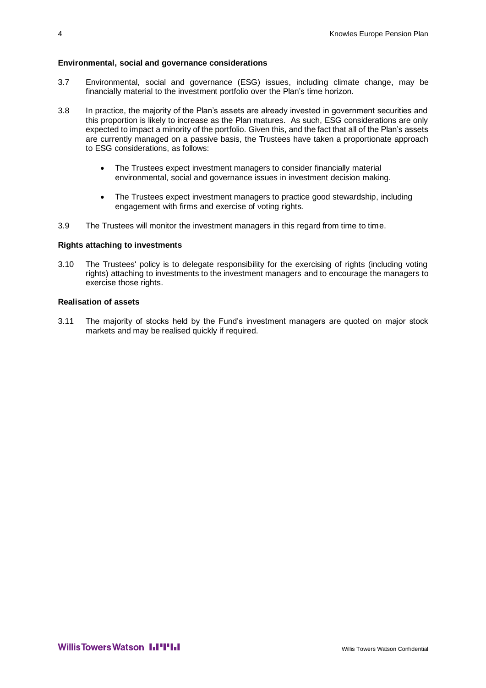#### **Environmental, social and governance considerations**

- 3.7 Environmental, social and governance (ESG) issues, including climate change, may be financially material to the investment portfolio over the Plan's time horizon.
- 3.8 In practice, the majority of the Plan's assets are already invested in government securities and this proportion is likely to increase as the Plan matures. As such, ESG considerations are only expected to impact a minority of the portfolio. Given this, and the fact that all of the Plan's assets are currently managed on a passive basis, the Trustees have taken a proportionate approach to ESG considerations, as follows:
	- The Trustees expect investment managers to consider financially material environmental, social and governance issues in investment decision making.
	- The Trustees expect investment managers to practice good stewardship, including engagement with firms and exercise of voting rights.
- 3.9 The Trustees will monitor the investment managers in this regard from time to time.

#### **Rights attaching to investments**

3.10 The Trustees' policy is to delegate responsibility for the exercising of rights (including voting rights) attaching to investments to the investment managers and to encourage the managers to exercise those rights.

#### **Realisation of assets**

3.11 The majority of stocks held by the Fund's investment managers are quoted on major stock markets and may be realised quickly if required.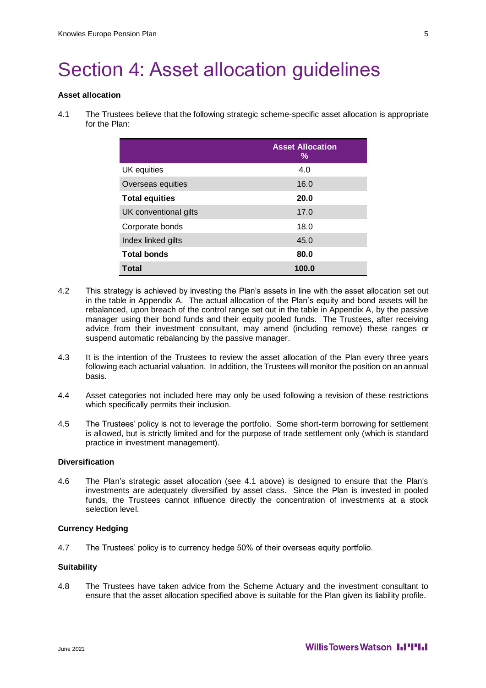## Section 4: Asset allocation guidelines

#### **Asset allocation**

4.1 The Trustees believe that the following strategic scheme-specific asset allocation is appropriate for the Plan:

|                       | <b>Asset Allocation</b><br>% |
|-----------------------|------------------------------|
| UK equities           | 4.0                          |
| Overseas equities     | 16.0                         |
| <b>Total equities</b> | 20.0                         |
| UK conventional gilts | 17.0                         |
| Corporate bonds       | 18.0                         |
| Index linked gilts    | 45.0                         |
| <b>Total bonds</b>    | 80.0                         |
| <b>Total</b>          | 100.0                        |

- 4.2 This strategy is achieved by investing the Plan's assets in line with the asset allocation set out in the table in Appendix A. The actual allocation of the Plan's equity and bond assets will be rebalanced, upon breach of the control range set out in the table in Appendix A, by the passive manager using their bond funds and their equity pooled funds. The Trustees, after receiving advice from their investment consultant, may amend (including remove) these ranges or suspend automatic rebalancing by the passive manager.
- 4.3 It is the intention of the Trustees to review the asset allocation of the Plan every three years following each actuarial valuation. In addition, the Trustees will monitor the position on an annual basis.
- 4.4 Asset categories not included here may only be used following a revision of these restrictions which specifically permits their inclusion.
- 4.5 The Trustees' policy is not to leverage the portfolio. Some short-term borrowing for settlement is allowed, but is strictly limited and for the purpose of trade settlement only (which is standard practice in investment management).

#### **Diversification**

4.6 The Plan's strategic asset allocation (see 4.1 above) is designed to ensure that the Plan's investments are adequately diversified by asset class. Since the Plan is invested in pooled funds, the Trustees cannot influence directly the concentration of investments at a stock selection level.

#### **Currency Hedging**

4.7 The Trustees' policy is to currency hedge 50% of their overseas equity portfolio.

#### **Suitability**

4.8 The Trustees have taken advice from the Scheme Actuary and the investment consultant to ensure that the asset allocation specified above is suitable for the Plan given its liability profile.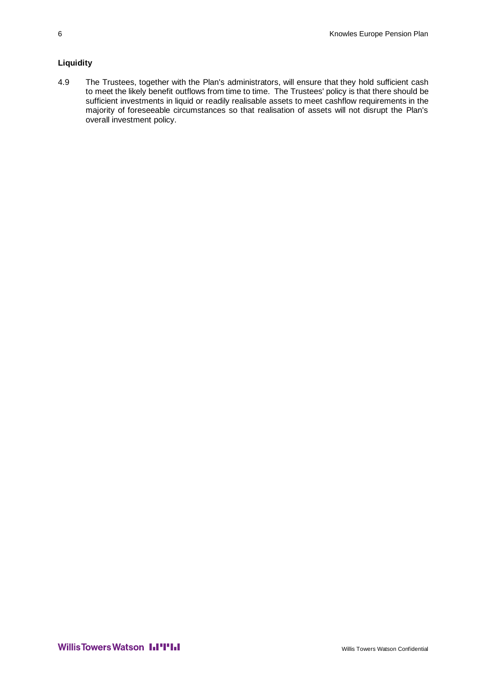#### **Liquidity**

4.9 The Trustees, together with the Plan's administrators, will ensure that they hold sufficient cash to meet the likely benefit outflows from time to time. The Trustees' policy is that there should be sufficient investments in liquid or readily realisable assets to meet cashflow requirements in the majority of foreseeable circumstances so that realisation of assets will not disrupt the Plan's overall investment policy.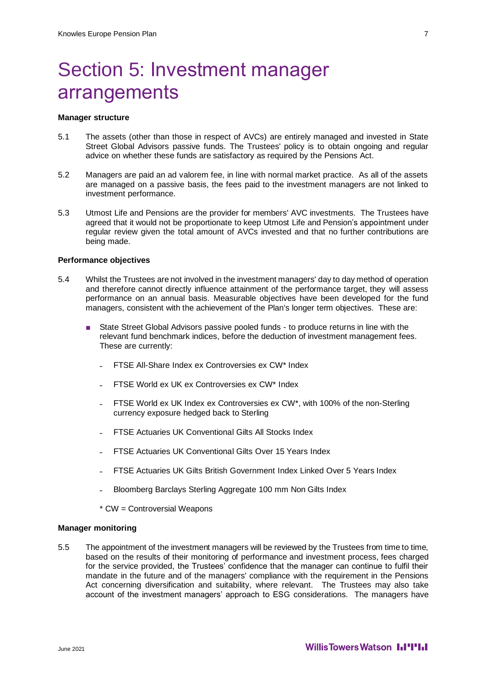## Section 5: Investment manager arrangements

#### **Manager structure**

- 5.1 The assets (other than those in respect of AVCs) are entirely managed and invested in State Street Global Advisors passive funds. The Trustees' policy is to obtain ongoing and regular advice on whether these funds are satisfactory as required by the Pensions Act.
- 5.2 Managers are paid an ad valorem fee, in line with normal market practice. As all of the assets are managed on a passive basis, the fees paid to the investment managers are not linked to investment performance.
- 5.3 Utmost Life and Pensions are the provider for members' AVC investments. The Trustees have agreed that it would not be proportionate to keep Utmost Life and Pension's appointment under regular review given the total amount of AVCs invested and that no further contributions are being made.

#### **Performance objectives**

- 5.4 Whilst the Trustees are not involved in the investment managers' day to day method of operation and therefore cannot directly influence attainment of the performance target, they will assess performance on an annual basis. Measurable objectives have been developed for the fund managers, consistent with the achievement of the Plan's longer term objectives. These are:
	- State Street Global Advisors passive pooled funds to produce returns in line with the relevant fund benchmark indices, before the deduction of investment management fees. These are currently:
		- ˗ FTSE All-Share Index ex Controversies ex CW\* Index
		- ˗ FTSE World ex UK ex Controversies ex CW\* Index
		- ˗ FTSE World ex UK Index ex Controversies ex CW\*, with 100% of the non-Sterling currency exposure hedged back to Sterling
		- ˗ FTSE Actuaries UK Conventional Gilts All Stocks Index
		- ˗ FTSE Actuaries UK Conventional Gilts Over 15 Years Index
		- ˗ FTSE Actuaries UK Gilts British Government Index Linked Over 5 Years Index
		- ˗ Bloomberg Barclays Sterling Aggregate 100 mm Non Gilts Index
		- \* CW = Controversial Weapons

#### **Manager monitoring**

5.5 The appointment of the investment managers will be reviewed by the Trustees from time to time, based on the results of their monitoring of performance and investment process, fees charged for the service provided, the Trustees' confidence that the manager can continue to fulfil their mandate in the future and of the managers' compliance with the requirement in the Pensions Act concerning diversification and suitability, where relevant. The Trustees may also take account of the investment managers' approach to ESG considerations. The managers have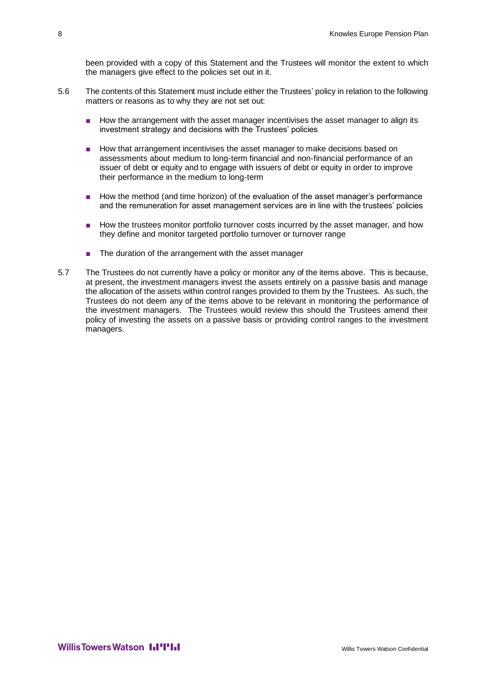been provided with a copy of this Statement and the Trustees will monitor the extent to which the managers give effect to the policies set out in it.

- 5.6 The contents of this Statement must include either the Trustees' policy in relation to the following matters or reasons as to why they are not set out:
	- How the arrangement with the asset manager incentivises the asset manager to align its investment strategy and decisions with the Trustees' policies
	- How that arrangement incentivises the asset manager to make decisions based on assessments about medium to long-term financial and non-financial performance of an issuer of debt or equity and to engage with issuers of debt or equity in order to improve their performance in the medium to long-term
	- How the method (and time horizon) of the evaluation of the asset manager's performance and the remuneration for asset management services are in line with the trustees' policies
	- How the trustees monitor portfolio turnover costs incurred by the asset manager, and how they define and monitor targeted portfolio turnover or turnover range
	- The duration of the arrangement with the asset manager
- 5.7 The Trustees do not currently have a policy or monitor any of the items above. This is because, at present, the investment managers invest the assets entirely on a passive basis and manage the allocation of the assets within control ranges provided to them by the Trustees. As such, the Trustees do not deem any of the items above to be relevant in monitoring the performance of the investment managers. The Trustees would review this should the Trustees amend their policy of investing the assets on a passive basis or providing control ranges to the investment managers.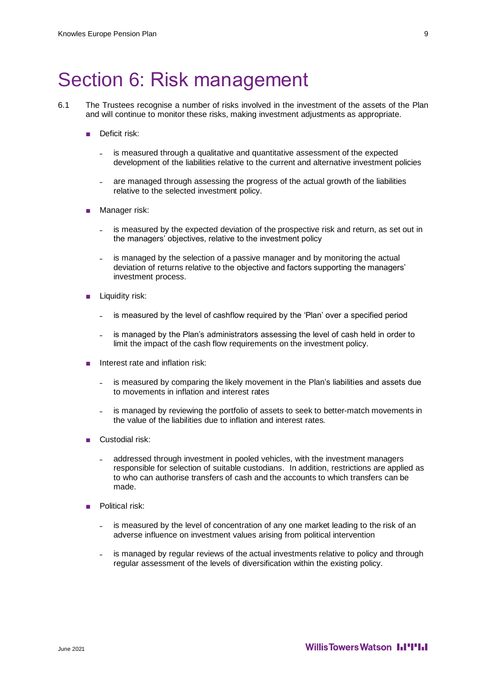### Section 6: Risk management

- 6.1 The Trustees recognise a number of risks involved in the investment of the assets of the Plan and will continue to monitor these risks, making investment adjustments as appropriate.
	- Deficit risk:
		- ˗ is measured through a qualitative and quantitative assessment of the expected development of the liabilities relative to the current and alternative investment policies
		- ˗ are managed through assessing the progress of the actual growth of the liabilities relative to the selected investment policy.
	- Manager risk:
		- ˗ is measured by the expected deviation of the prospective risk and return, as set out in the managers' objectives, relative to the investment policy
		- ˗ is managed by the selection of a passive manager and by monitoring the actual deviation of returns relative to the objective and factors supporting the managers' investment process.
	- Liquidity risk:
		- is measured by the level of cashflow required by the 'Plan' over a specified period
		- is managed by the Plan's administrators assessing the level of cash held in order to limit the impact of the cash flow requirements on the investment policy.
	- Interest rate and inflation risk:
		- is measured by comparing the likely movement in the Plan's liabilities and assets due to movements in inflation and interest rates
		- ˗ is managed by reviewing the portfolio of assets to seek to better-match movements in the value of the liabilities due to inflation and interest rates.
	- Custodial risk:
		- ˗ addressed through investment in pooled vehicles, with the investment managers responsible for selection of suitable custodians. In addition, restrictions are applied as to who can authorise transfers of cash and the accounts to which transfers can be made.
	- Political risk:
		- ˗ is measured by the level of concentration of any one market leading to the risk of an adverse influence on investment values arising from political intervention
		- is managed by regular reviews of the actual investments relative to policy and through regular assessment of the levels of diversification within the existing policy.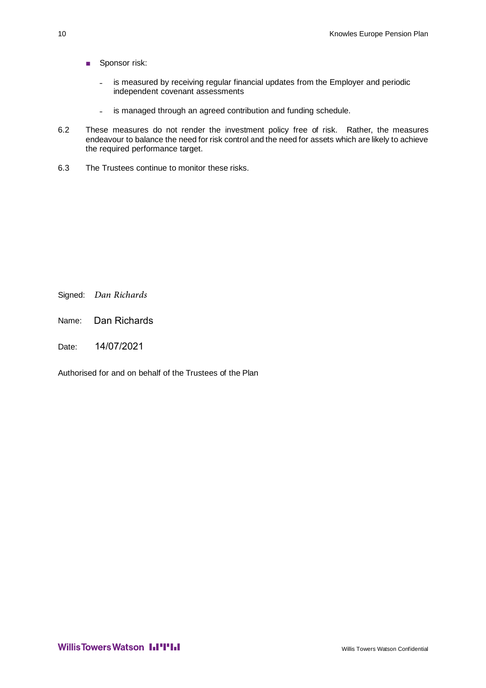- Sponsor risk:
	- is measured by receiving regular financial updates from the Employer and periodic independent covenant assessments
	- is managed through an agreed contribution and funding schedule.
- 6.2 These measures do not render the investment policy free of risk. Rather, the measures endeavour to balance the need for risk control and the need for assets which are likely to achieve the required performance target.
- 6.3 The Trustees continue to monitor these risks.

Signed: *Dan Richards*

Name: Dan Richards

Date: 14/07/2021

Authorised for and on behalf of the Trustees of the Plan